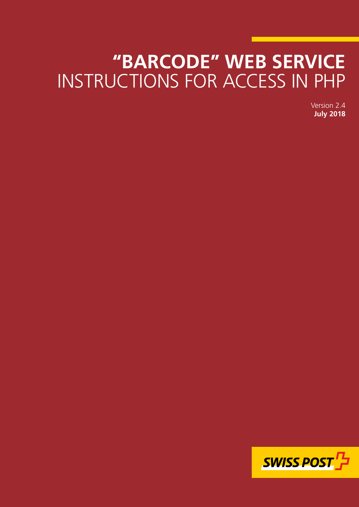# **"BARCODE" WEB SERVICE** INSTRUCTIONS FOR ACCESS IN PHP

Version 2.4 **July 2018**

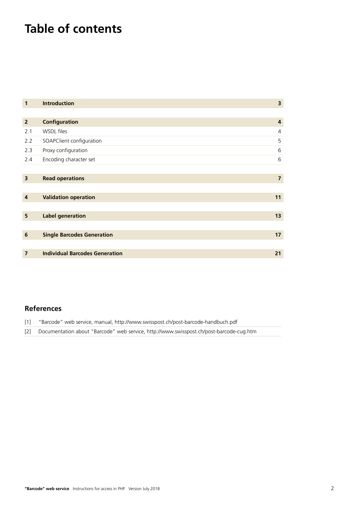## **Table of contents**

| $\mathbf{1}$            | <b>Introduction</b>                   | $\overline{\mathbf{3}}$ |
|-------------------------|---------------------------------------|-------------------------|
|                         |                                       |                         |
| $\overline{2}$          | Configuration                         | 4                       |
| 2.1                     | WSDL files                            | $\overline{4}$          |
| 2.2                     | SOAPClient configuration              | 5                       |
| 2.3                     | Proxy configuration                   | 6                       |
| 2.4                     | Encoding character set                | 6                       |
|                         |                                       |                         |
| $\overline{\mathbf{3}}$ | <b>Read operations</b>                | $\overline{7}$          |
|                         |                                       |                         |
| 4                       | <b>Validation operation</b>           | 11                      |
|                         |                                       |                         |
| 5                       | <b>Label generation</b>               | 13                      |
|                         |                                       |                         |
| 6                       | <b>Single Barcodes Generation</b>     | 17                      |
|                         |                                       |                         |
| $\overline{7}$          | <b>Individual Barcodes Generation</b> | 21                      |

#### **References**

| $\lceil 1 \rceil$ | "Barcode" web service, manual, http://www.swisspost.ch/post-barcode-handbuch.pdf            |
|-------------------|---------------------------------------------------------------------------------------------|
|                   | [2] Documentation about "Barcode" web service, http://www.swisspost.ch/post-barcode-cug.htm |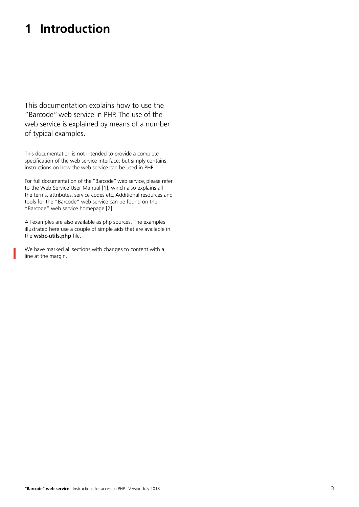### <span id="page-2-0"></span>**1 Introduction**

This documentation explains how to use the "Barcode" web service in PHP. The use of the web service is explained by means of a number of typical examples.

This documentation is not intended to provide a complete specification of the web service interface, but simply contains instructions on how the web service can be used in PHP.

For full documentation of the "Barcode" web service, please refer to the Web Service User Manual [1], which also explains all the terms, attributes, service codes etc. Additional resources and tools for the "Barcode" web service can be found on the "Barcode" web service homepage [2].

All examples are also available as php sources. The examples illustrated here use a couple of simple aids that are available in the **wsbc-utils.php** file.

We have marked all sections with changes to content with a line at the margin.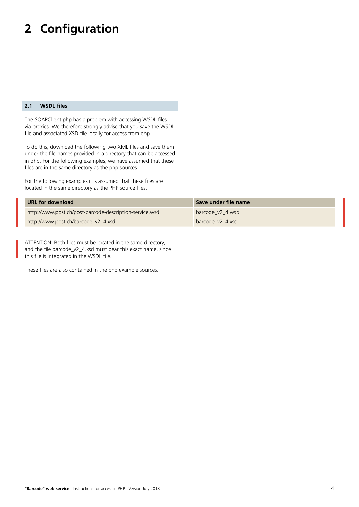## <span id="page-3-0"></span>**2 Configuration**

#### **2.1 WSDL files**

The SOAPClient php has a problem with accessing WSDL files via proxies. We therefore strongly advise that you save the WSDL file and associated XSD file locally for access from php.

To do this, download the following two XML files and save them under the file names provided in a directory that can be accessed in php. For the following examples, we have assumed that these files are in the same directory as the php sources.

For the following examples it is assumed that these files are located in the same directory as the PHP source files.

| URL for download                                         | Save under file name |
|----------------------------------------------------------|----------------------|
| http://www.post.ch/post-barcode-description-service.wsdl | barcode v2 4.wsdl    |
| http://www.post.ch/barcode_v2_4.xsd                      | barcode v2 4.xsd     |

ATTENTION: Both files must be located in the same directory, and the file barcode\_v2\_4.xsd must bear this exact name, since this file is integrated in the WSDL file.

These files are also contained in the php example sources.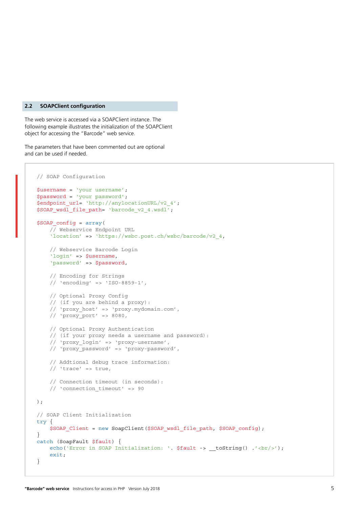#### <span id="page-4-0"></span>**2.2 SOAPClient configuration**

The web service is accessed via a SOAPClient instance. The following example illustrates the initialization of the SOAPClient object for accessing the "Barcode" web service.

The parameters that have been commented out are optional and can be used if needed.

```
// SOAP Configuration
$username = 'your username';
$password = 'your password';
$endpoint_url= 'http://anylocationURL/v2_4';
$SOAP wsdl file path= 'barcode v2 4.wsdl';
$SOAP_config = array(
     // Webservice Endpoint URL
     'location' => 'https://wsbc.post.ch/wsbc/barcode/v2_4,
     // Webservice Barcode Login
     'login' => $username,
     'password' => $password,
     // Encoding for Strings
     // 'encoding' => 'ISO-8859-1',
     // Optional Proxy Config
     // (if you are behind a proxy):
     // 'proxy_host' => 'proxy.mydomain.com',
    // 'proxy port' => 8080, // Optional Proxy Authentication
     // (if your proxy needs a username and password):
     // 'proxy_login' => 'proxy-username',
     // 'proxy_password' => 'proxy-password',
     // Addtional debug trace information:
    // 'trace' => true, // Connection timeout (in seconds):
     // 'connection_timeout' => 90
);
// SOAP Client Initialization
try {
    $SOAP_Client = new SoapClient($SOAP_wsdl_file_path, $SOAP_config);
}
catch (SoapFault $fault) {
    echo('Error in SOAP Initialization: '. $fault -> t toString() \cdot'<br/>\cdot');
     exit;
}
```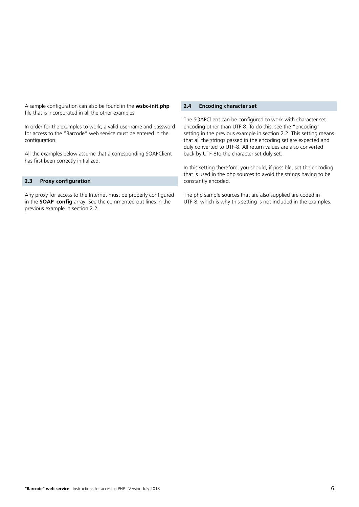<span id="page-5-0"></span>A sample configuration can also be found in the **wsbc-init.php** file that is incorporated in all the other examples.

In order for the examples to work, a valid username and password for access to the "Barcode" web service must be entered in the configuration.

All the examples below assume that a corresponding SOAPClient has first been correctly initialized.

#### **2.3 Proxy configuration**

Any proxy for access to the Internet must be properly configured in the **SOAP\_config** array. See the commented out lines in the previous example in section 2.2.

#### **2.4 Encoding character set**

The SOAPClient can be configured to work with character set encoding other than UTF-8. To do this, see the "encoding" setting in the previous example in section 2.2. This setting means that all the strings passed in the encoding set are expected and duly converted to UTF-8. All return values are also converted back by UTF-8to the character set duly set.

In this setting therefore, you should, if possible, set the encoding that is used in the php sources to avoid the strings having to be constantly encoded.

The php sample sources that are also supplied are coded in UTF-8, which is why this setting is not included in the examples.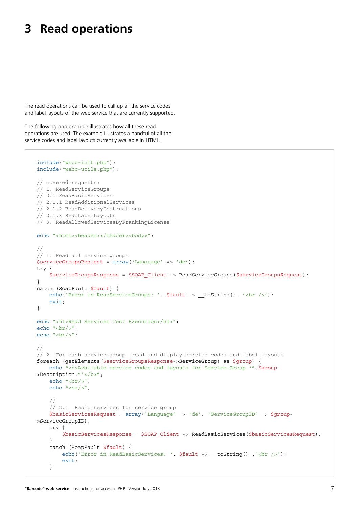### <span id="page-6-0"></span>**3 Read operations**

The read operations can be used to call up all the service codes and label layouts of the web service that are currently supported.

The following php example illustrates how all these read operations are used. The example illustrates a handful of all the service codes and label layouts currently available in HTML.

```
include("wsbc-init.php");
include("wsbc-utils.php");
// covered requests:
// 1. ReadServiceGroups
// 2.1 ReadBasicServices
// 2.1.1 ReadAdditionalServices
// 2.1.2 ReadDeliveryInstructions
// 2.1.3 ReadLabelLayouts
// 3. ReadAllowedServicesByFrankingLicense
echo "<html><header></header><br/>>body>";
//
// 1. Read all service groups
$serviceGroupsRequest = array('Language' => 'de');
try {
     $serviceGroupsResponse = $SOAP_Client -> ReadServiceGroups($serviceGroupsRequest);
}
catch (SoapFault $fault) {
    echo('Error in ReadServiceGroups: '. $fault -> __toString() .'<br/>shown />');
     exit;
}
echo "<h1>Read Services Test Execution</h1>";
echo "<br/>>br/>";
echo "<br/> \cdot />";
//
// 2. For each service group: read and display service codes and label layouts
foreach (getElements($serviceGroupsResponse->ServiceGroup) as $group) {
    echo "<b>>>>b>Available service codes and layouts for Service-Group '".$group-
>Description."'</b>";
    echo "<br/>-br/>";
    echo "\text{-br}/\text{-}";
     //
     // 2.1. Basic services for service group
     $basicServicesRequest = array('Language' => 'de', 'ServiceGroupID' => $group-
>ServiceGroupID);
     try {
         $basicServicesResponse = $SOAP_Client -> ReadBasicServices($basicServicesRequest);
     }
     catch (SoapFault $fault) {
         echo('Error in ReadBasicServices: '. $fault -> __toString() .'<br />');
         exit;
     }
```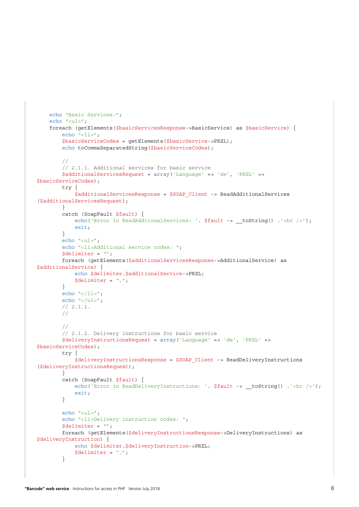```
echo "Basic Services:";
    echo "<ul>";
     foreach (getElements($basicServicesResponse->BasicService) as $basicService) {
        echo "<li>";
         $basicServiceCodes = getElements($basicService->PRZL);
        echo toCommaSeparatedString($basicServiceCodes);
         //
         // 2.1.1. Additional services for basic service
         $additionalServicesRequest = array('Language' => 'de', 'PRZL' => 
$basicServiceCodes);
         try {
             $additionalServicesResponse = $SOAP_Client -> ReadAdditionalServices
($additionalServicesRequest);
         }
         catch (SoapFault $fault) {
            echo('Error in ReadAdditonalServices: '. $fault -> __toString() .'<br />>');
             exit;
         }
         echo "<ul>";
        echo "<li>Additional service codes: ";
         $delimiter = "";
         foreach (getElements($additionalServicesResponse->AdditionalService) as 
$additionalService) {
             echo $delimiter.$additionalService->PRZL;
            $delimiter = "," }
        echo "\textless}\times\textless}:
        echo "</ul>";
         // 2.1.1.
         //
         //
         // 2.1.2. Delivery instructions for basic service
         $deliveryInstructionsRequest = array('Language' => 'de', 'PRZL' => 
$basicServiceCodes);
         try {
             $deliveryInstructionsResponse = $SOAP_Client -> ReadDeliveryInstructions
($deliveryInstructionsRequest);
         }
         catch (SoapFault $fault) {
            echo('Error in ReadDeliveryInstructions: '. $fault -> _toString() .'<br />>');
             exit;
         }
         echo "<ul>";
        echo "<li>Delivery instruction codes: ";
        Sdelimiter = " " foreach (getElements($deliveryInstructionsResponse->DeliveryInstructions) as 
$deliveryInstruction) {
            echo $delimiter.$deliveryInstruction->PRZL;
            $delimiter = ",";
         }
```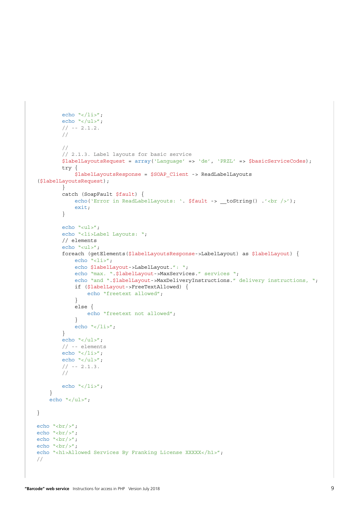```
echo "</li>";
        echo "</ul>";
        // - - 2.1.2. //
          //
         // 2.1.3. Label layouts for basic service
         $labelLayoutsRequest = array('Language' => 'de', 'PRZL' => $basicServiceCodes);
         try {
              $labelLayoutsResponse = $SOAP_Client -> ReadLabelLayouts
($labelLayoutsRequest);
         }
         catch (SoapFault $fault) {
             echo('Error in ReadLabelLayouts: '. $fault -> __toString() .'<br />>');
              exit;
          }
        echo "<ul>";
        echo "<li>Label Layouts: ";
         // elements
         echo "<ul>";
         foreach (getElements($labelLayoutsResponse->LabelLayout) as $labelLayout) {
             echo "<li>";
              echo $labelLayout->LabelLayout.": ";
             echo "max. ".$labelLayout->MaxServices." services ";
             echo "and ".$labelLayout->MaxDeliveryInstructions." delivery instructions, ";
              if ($labelLayout->FreeTextAllowed) {
                  echo "freetext allowed";
 }
              else {
                echo "freetext not allowed";
 }
             echo "\textless}\times\textless}\};
         }
         echo "</ul>";
         // -- elements
        echo "\langle /1i \rangle";
         echo "</ul>";
        // -- 2.1.3. //
        echo "\textless}\frac{1}{3};
     }
    echo "</ul>";
}
echo "\text{chr}/\text{y}:
echo "<br/> \cdot />";
echo "<br/>>br/>";
echo "\text{chr}/\text{y}:
echo "<h1>Allowed Services By Franking License XXXXX</h1>";
//
```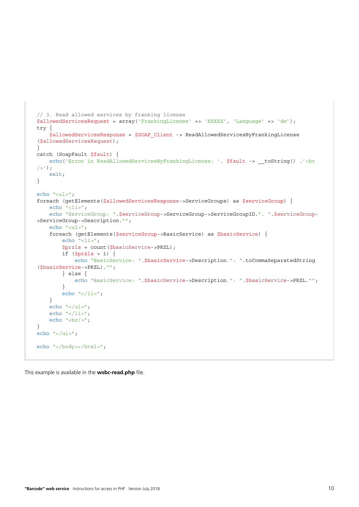```
// 3. Read allowed services by franking license
$allowedServicesRequest = array('FrankingLicense' => 'XXXXX', 'Language' => 'de');
try {
     $allowedServicesResponse = $SOAP_Client -> ReadAllowedServicesByFrankingLicense
($allowedServicesRequest);
}
catch (SoapFault $fault) {
    echo('Error in ReadAllowedServicesByFrankingLicense: '. $fault -> __toString() .'<br
/>');
     exit;
}
echo "<ul>";
foreach (getElements($allowedServicesResponse->ServiceGroups) as $serviceGroup) {
    echo "<li>";
    echo "ServiceGroup: ".$serviceGroup->ServiceGroup->ServiceGroupID.", ".$serviceGroup-
>ServiceGroup->Description."";
     echo "<ul>";
     foreach (getElements($serviceGroup->BasicService) as $basicService) {
        echo "<li>";
         $przls = count($basicService->PRZL);
        if (\$przls > 1) {
             echo "BasicService: ".$basicService->Description.": ".toCommaSeparatedString
($basicService->PRZL)."";
         } else {
            echo "BasicService: ".$basicService->Description.": ".$basicService->PRZL."";
         }
        echo "\textless}\frac{1}{3};
     }
    echo "</ul>";
    echo "\textless}\frac{1}{3};
    echo "<br/>>br/>";
}
echo "</ul>";
echo "</body></html>";
```
This example is available in the **wsbc-read.php** file.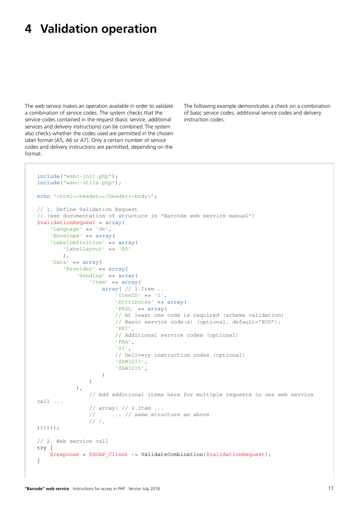### <span id="page-10-0"></span>**4 Validation operation**

The web service makes an operation available in order to validate a combination of service codes. The system checks that the service codes contained in the request (basic service, additional services and delivery instructions) can be combined. The system also checks whether the codes used are permitted in the chosen label format (A5, A6 or A7). Only a certain number of service codes and delivery instructions are permitted, depending on the format.

The following example demonstrates a check on a combination of basic service codes, additional service codes and delivery instruction codes.

```
include("wsbc-init.php");
include("wsbc-utils.php");
echo "<html><header></header><br/><br/>shody>";
// 1. Define Validation Request
// (see documentation of structure in "Barcode web service manual")
$validationRequest = array(
 'Language' => 'de',
 'Envelope' => array(
    'LabelDefinition' => array(
         'LabelLayout' => 'A5'
         ),
     'Data' => array(
         'Provider' => array(
             'Sending' => array(
                 'Item' => array(
                    array(// 1.Item ...
                        'ItemID' => '1',
                        'Attributes' => array(
                        'PRZL' => array(
                         // At least one code is required (schema validation)
                         // Basic service code(s) (optional, default="ECO"):
                         'PRI',
                         // Additional service codes (optional)
                         'FRA',
                        'SI',
                         // Delivery instruction codes (optional)
                         'ZAW3213',
                        'ZAW3215',
 )
 )
            ),
                 // Add additional items here for multiple requests in one web service 
call ...
                 // array( // 2.Item ...
                 // ... // same structure as above
                // ),
))))));
// 2. Web service call
try {
   $response = $SOAP Client -> ValidateCombination($validationRequest);
}
```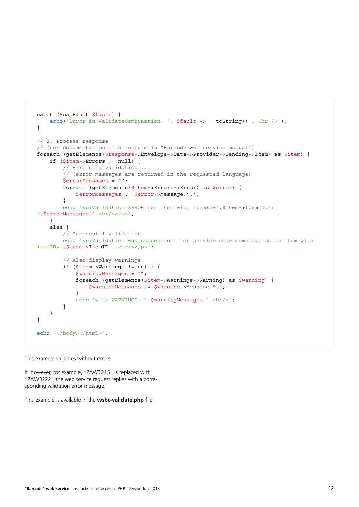```
catch (SoapFault $fault) {
    echo('Error in ValidateCombination: '. $fault -> __toString() .'<br />>> /; ',
}
// 3. Process response
// (see documentation of structure in "Barcode web service manual")
foreach (getElements($response->Envelope->Data->Provider->Sending->Item) as $item) {
     if ($item->Errors != null) {
         // Errors in validation ...
         // (error messages are returned in the requested language)
         $errorMessages = "";
         foreach (getElements($item->Errors->Error) as $error) {
             $errorMessages .= $error->Message.',';
         }
         echo '<p>Validation-ERROR for item with itemID='.$item->ItemID.": 
".$errorMessages.'.<br/>>br/>>/p>';
     }
     else {
         // Successful validation
         echo '<p>Validation was successfull for service code combination in item with 
itemID='.$item->ItemID.'.<br/>>br/>>';
         // Also display warnings
         if ($item->Warnings != null) {
             $warningMessages = "";
             foreach (getElements($item->Warnings->Warning) as $warning) {
                  $warningMessages .= $warning->Message.",";
 }
            echo 'with WARNINGS: '.$warningMessages.'.<br/>>br/>';
         }
     }
}
echo "</body></html>";
```
This example validates without errors.

If however, for example, "ZAW3215" is replaced with "ZAW3222" the web service request replies with a corresponding validation error message.

This example is available in the **wsbc-validate.php** file.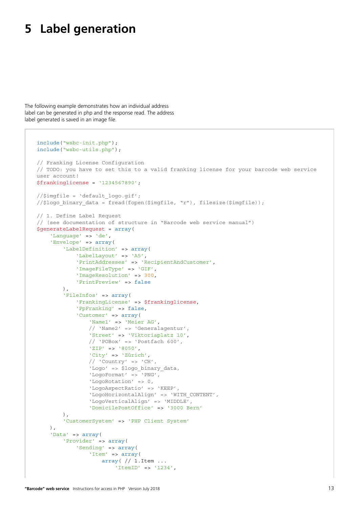### <span id="page-12-0"></span>**5 Label generation**

The following example demonstrates how an individual address label can be generated in php and the response read. The address label generated is saved in an image file.

```
include("wsbc-init.php");
include("wsbc-utils.php");
// Franking License Configuration
// TODO: you have to set this to a valid franking license for your barcode web service 
user account!
$frankinglicense = '1234567890';
//$imgfile = 'default_logo.gif';
//$logo binary data = fread(fopen($imgfile, "r"), filesize($imgfile));
// 1. Define Label Request 
// (see documentation of structure in "Barcode web service manual")
$generateLabelRequest = array(
     'Language' => 'de',
     'Envelope' => array(
         'LabelDefinition' => array(
              'LabelLayout' => 'A5',
             'PrintAddresses' => 'RecipientAndCustomer',
             'ImageFileType' => 'GIF',
             'ImageResolution' => 300,
              'PrintPreview' => false
         ),
         'FileInfos' => array(
              'FrankingLicense' => $frankinglicense,
              'PpFranking' => false,
              'Customer' => array(
                  'Name1' => 'Meier AG',
                  // 'Name2' => 'Generalagentur',
                  'Street' => 'Viktoriaplatz 10',
                  // 'POBox' => 'Postfach 600',
                  'ZIP' => '8050',
                  'City' => 'Zürich',
                 // 'Country' => 'CH', 'Logo' => $logo_binary_data,
                  'LogoFormat' => 'PNG',
                  'LogoRotation' => 0, 
                  'LogoAspectRatio' => 'KEEP', 
                  'LogoHorizontalAlign' => 'WITH_CONTENT', 
                  'LogoVerticalAlign' => 'MIDDLE',
                  'DomicilePostOffice' => '3000 Bern'
         ),
         'CustomerSystem' => 'PHP Client System'
     ),
     'Data' => array(
         'Provider' => array(
              'Sending' => array(
                 'Item' => array(
                     array( // 1.Item ...
                         'ItemID' => '1234',
```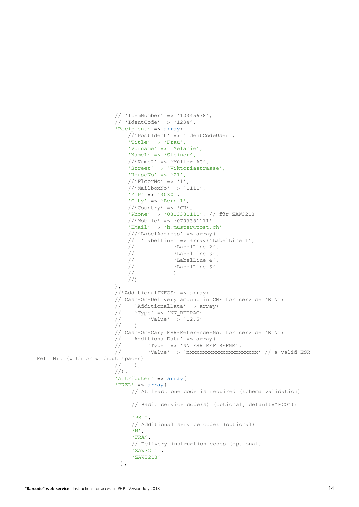```
 // 'ItemNumber' => '12345678',
                        // 'IdentCode' => '1234',
                        'Recipient' => array(
                             //'PostIdent' => 'IdentCodeUser',
                            'Title' => 'Frau',
                            'Vorname' => 'Melanie',
                            'Name1' => 'Steiner',
                            //'Name2' => 'Müller AG',
                            'Street' => 'Viktoriastrasse',
                            'HouseNo' => '21',
                            // 'Floor' \rightarrow '1',//'MailboxNo' => '1111',
                            'ZIP' => '3030',
                            'City' => 'Bern 1',
                           // 'Country' => 'CH',
                            'Phone' => '0313381111', // für ZAW3213
                            //'Mobile' => '0793381111',
                            'EMail' => 'h.muster@post.ch'
                             ///'LabelAddress' => array(
                             // 'LabelLine' => array('LabelLine 1',
                           \frac{1}{\sqrt{2}} 'LabelLine 2',
                             // 'LabelLine 3',
                             // 'LabelLine 4',
                           \frac{1}{1} 'LabelLine 5'
\frac{1}{2} )
                       \binom{1}{1}\,), \, //'AdditionalINFOS' => array(
                         // Cash-On-Delivery amount in CHF for service 'BLN':
                        // 'AdditionalData' => array(
                       \frac{1}{2} 'Type' => 'NN BETRAG',
                       // 'Value' => '12.5'
\frac{1}{\sqrt{2}} ),
                         // Cash-On-Cary ESR-Reference-No. for service 'BLN':
                       // AdditionalData' => array(<br>// 'Type' => 'NN_ESR_REF
                                  // 'Type' => 'NN_ESR_REF_REFNR',
                        // Value' => 'xxxxxxxxxxxxxxxxxxxxxxxx' // a valid ESR
Ref. Nr. (with or without spaces)
                        // ),
                        //),
                        'Attributes' => array(
                        'PRZL' => array(
                              // At least one code is required (schema validation)
                              // Basic service code(s) (optional, default="ECO"):
                              'PRI',
                             // Additional service codes (optional)
                             'N',
                             'FRA',
                             // Delivery instruction codes (optional)
                             'ZAW3211',
                             'ZAW3213'
), \overline{\phantom{a}}
```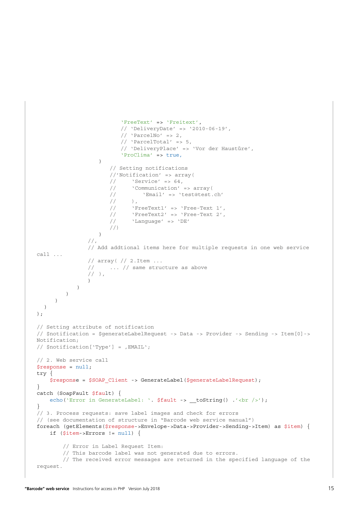```
 'FreeText' => 'Freitext',
                         // 'DeliveryDate' => '2010-06-19',
                         \frac{1}{1} 'ParcelNo' => 2,
                         // 'ParcelTotal' => 5,// 'DeliveryPlace' => 'Vor der Haustüre',
                         'ProClima' => true,
 )
                       // Setting notifications
                      //'Notification' => array(
                      \frac{1}{10} 'Service' => 64,
                      // 'Communication' => array(
                      // 'Email' => 'test@test.ch'
                      // ),
                      // 'FreeText1' => 'Free-Text 1',
                      // 'FreeText2' => 'Free-Text 2',
                      // 'Language' => 'DE'
                      //)
 )
                //,
                // Add addtional items here for multiple requests in one web service 
call ...
                // array( // 2.Item ...
                // ... // same structure as above
               // ),
 )
           \rightarrow )
      )
 )
);
// Setting attribute of notification
// $notification = $generateLabelRequest -> Data -> Provider -> Sending -> Item[0]-> 
Notification;
// $notification['Type'] = .EMAIL':// 2. Web service call
$response = null;
try {
    $response = $SOAP_Client -> GenerateLabel($generateLabelRequest);
}
catch (SoapFault $fault) {
   echo('Error in GenerateLabel: '. $fault -> _toString() .'<br />>');
}
// 3. Process requests: save label images and check for errors
// (see documentation of structure in "Barcode web service manual")
foreach (getElements($response->Envelope->Data->Provider->Sending->Item) as $item) {
    if ($item->Errors != null) {
        // Error in Label Request Item:
        // This barcode label was not generated due to errors.
         // The received error messages are returned in the specified language of the 
request.
```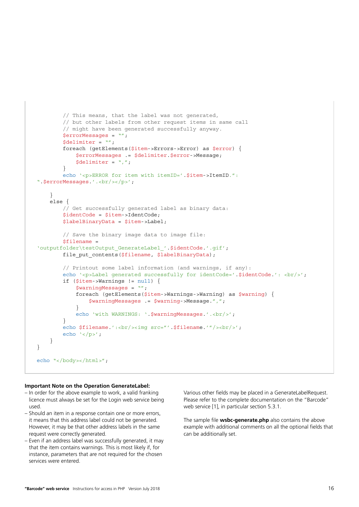```
 // This means, that the label was not generated,
         // but other labels from other request items in same call
         // might have been generated successfully anyway.
         $errorMessages = "";
         $delimiter = "";
         foreach (getElements($item->Errors->Error) as $error) {
             $errorMessages .= $delimiter.$error->Message;
             $delimiter = ",";
         }
         echo '<p>ERROR for item with itemID='.$item->ItemID.": 
".$errorMessages.'.<br/>>>/p>';
     }
     else {
         // Get successfully generated label as binary data:
         $identCode = $item->IdentCode;
         $labelBinaryData = $item->Label;
         // Save the binary image data to image file:
        $filename ='outputfolder\testOutput_GenerateLabel_'.$identCode.'.gif';
        file put contents($filename, $labelBinaryData);
         // Printout some label information (and warnings, if any):
        echo '<p>>>>>Label generated successfully for identCode='.$identCode.': <br/> <br/> </r><//>';
         if ($item->Warnings != null) {
             $warningMessages = "";
             foreach (getElements($item->Warnings->Warning) as $warning) {
                  $warningMessages .= $warning->Message.",";
 }
            echo 'with WARNINGS: '.$warningMessages.'.<br/>>br/>';
 }
        echo $filename.':<br/>>br/>>img src="'.$filename.'"/><br/>>br/>';
         echo '</p>';
     }
}
echo "</body></html>";
```
#### **Important Note on the Operation GenerateLabel:**

- In order for the above example to work, a valid franking licence must always be set for the Login web service being used.
- Should an item in a response contain one or more errors, it means that this address label could not be generated. However, it may be that other address labels in the same request were correctly generated.
- Even if an address label was successfully generated, it may that the item contains warnings. This is most likely if, for instance, parameters that are not required for the chosen services were entered.

Various other fields may be placed in a GenerateLabelRequest. Please refer to the complete documentation on the "Barcode" web service [1], in particular section 5.3.1.

The sample file **wsbc-generate.php** also contains the above example with additional comments on all the optional fields that can be additionally set.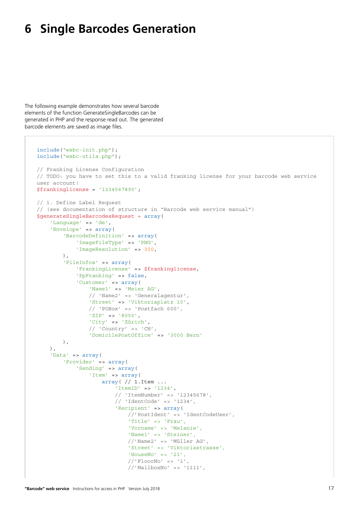### <span id="page-16-0"></span>**6 Single Barcodes Generation**

The following example demonstrates how several barcode elements of the function GenerateSingleBarcodes can be generated in PHP and the response read out. The generated barcode elements are saved as image files.

```
include("wsbc-init.php");
include("wsbc-utils.php");
// Franking License Configuration
// TODO: you have to set this to a valid franking license for your barcode web service 
user account!
$frankinglicense = '1234567890';
// 1. Define Label Request 
// (see documentation of structure in "Barcode web service manual")
$generateSingleBarcodesRequest = array(
     'Language' => 'de',
     'Envelope' => array(
        'BarcodeDefinition' => array(
             'ImageFileType' => 'PNG',
             'ImageResolution' => 300,
         ),
         'FileInfos' => array(
             'FrankingLicense' => $frankinglicense,
             'PpFranking' => false,
             'Customer' => array(
                 'Name1' => 'Meier AG',
                 // 'Name2' => 'Generalagentur',
                 'Street' => 'Viktoriaplatz 10',
                 // 'POBox' => 'Postfach 600',
                 'ZIP' => '8050',
                 'City' => 'Zürich',
                // 'Country' => 'CH', 'DomicilePostOffice' => '3000 Bern'
         ),
     ),
     'Data' => array(
         'Provider' => array(
 'Sending' => array(
 'Item' => array(
                     array( // 1.Item ...
                          'ItemID' => '1234',
                         // 'ItemNumber' => '12345678',
                        // 'IdentCode' => '1234',
                         'Recipient' => array(
                              //'PostIdent' => 'IdentCodeUser',
                             'Title' => 'Frau',
                             'Vorname' => 'Melanie',
                             'Name1' => 'Steiner',
                             //'Name2' => 'Müller AG',
                             'Street' => 'Viktoriastrasse',
                             'HouseNo' => '21',
                             // 'Floor' \rightarrow '1',//'MailboxNo' => '1111',
```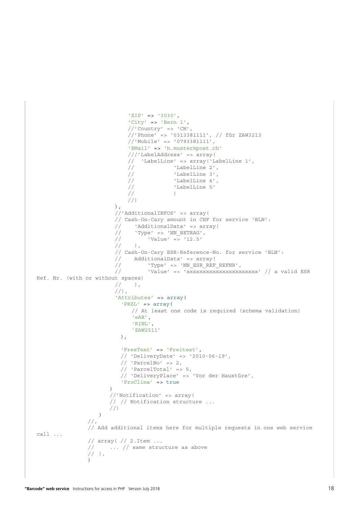```
 'ZIP' => '3030',
                           'City' => 'Bern 1',
                          // 'Country' => 'CH',
                           //'Phone' => '0313381111', // für ZAW3213
                           //'Mobile' => '0793381111',
                           'EMail' => 'h.muster@post.ch'
                           ///'LabelAddress' => array(
                          // 'LabelLine' => array('LabelLine 1',<br>// 'LabelLine 2',
                                        // 'LabelLine 2',
                           // 'LabelLine 3',
                           // 'LabelLine 4',
                           // 'LabelLine 5'
\frac{1}{2} )
                           //)
\,), \, //'AdditionalINFOS' => array(
                        // Cash-On-Cary amount in CHF for service 'BLN':
                        // 'AdditionalData' => array(
                       \frac{1}{10} 'Type' => 'NN_BETRAG',
                      \frac{1}{12.5} 'Value' => '12.5'
                      // ),
                       // Cash-On-Cary ESR-Reference-No. for service 'BLN':
                       // AdditionalData' => array(
                      // ' 'Type' => 'NN ESR REF_REFNR',
                       // \blacksquare 'Value' => 'xxxxxxxxxxxxxxxxxxxxxxxx' // a valid ESR
Ref. Nr. (with or without spaces)
                      // ),
                       //,
                       'Attributes' => array(
                         'PRZL' => array(
                             // At least one code is required (schema validation)
                            'eAR',
                            'RINL',
                            'ZAW2511'
), \overline{\phantom{a}} 'FreeText' => 'Freitext',
                        // 'DeliveryDate' => '2010-06-19',
                        // 'ParcelNo' => 2,// 'ParcelTotal' => 5,
                        // 'DeliveryPlace' => 'Vor der Haustüre',
                        'ProClima' => true
)//'Notification' => array(
                     // // Notification structure ...
                     //)
 )
                //,
                // Add additional items here for multiple requests in one web service 
call ...
                // array( // 2.Item ...
               // \ldots // same structure as above
               // ),
 )
```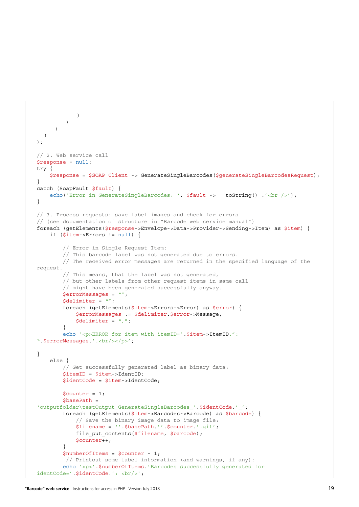```
\rightarrow )
      )
  )
);
// 2. Web service call
$response = null;
try {
     $response = $SOAP_Client -> GenerateSingleBarcodes($generateSingleBarcodesRequest);
}
catch (SoapFault $fault) {
    echo('Error in GenerateSingleBarcodes: '. $fault -> __toString() .'<br />>');
}
// 3. Process requests: save label images and check for errors
// (see documentation of structure in "Barcode web service manual")
foreach (getElements($response->Envelope->Data->Provider->Sending->Item) as $item) {
     if ($item->Errors != null) {
         // Error in Single Request Item:
         // This barcode label was not generated due to errors.
         // The received error messages are returned in the specified language of the 
request.
         // This means, that the label was not generated,
         // but other labels from other request items in same call
         // might have been generated successfully anyway.
         $errorMessages = "";
        Sdelimiter = " ";
         foreach (getElements($item->Errors->Error) as $error) {
             $errorMessages .= $delimiter.$error->Message;
            $delimiter = ",";
         }
         echo '<p>ERROR for item with itemID='.$item->ItemID.": 
".$errorMessages.'.<br/>>>/p>';
}
     else {
         // Get successfully generated label as binary data:
         $itemID = $item->IdentID;
         $identCode = $item->IdentCode;
        $counter = 1;<sup>5</sup>basePath =</sup>
'outputfolder\testOutput GenerateSingleBarcodes '.$identCode.'';
         foreach (getElements($item->Barcodes->Barcode) as $barcode) {
             // Save the binary image data to image file:
             $filename = ''.$basePath.''.$counter.'.gif';
            file put contents($filename, $barcode);
             $counter++;
 }
         $numberOfItems = $counter - 1;
          // Printout some label information (and warnings, if any):
         echo '<p>'.$numberOfItems.'Barcodes successfully generated for 
identCode='.$identCode.': <br/> <br/> <br/>;
```

```
"Barcode" web service Instructions for access in PHP Version July 2018 19
```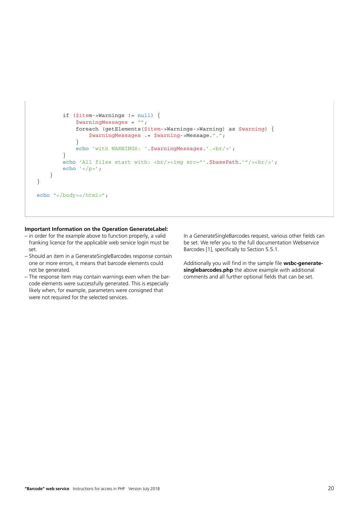```
 if ($item->Warnings != null) {
              $warningMessages = "";
              foreach (getElements($item->Warnings->Warning) as $warning) {
                  $warningMessages .= $warning->Message.",";
 }
             echo 'with WARNINGS: '.$warningMessages.'.<br/>>br/>';
         }
        echo 'All files start with: <br/> <br/> <tmq src="'.$basePath.'"/><br/>>br/>';
        echo '</p>';
     }
}
echo "</body></html>";
```
#### **Important Information on the Operation GenerateLabel:**

- in order for the example above to function properly, a valid franking licence for the applicable web service login must be set.
- Should an item in a GenerateSingleBarcodes response contain one or more errors, it means that barcode elements could not be generated.
- The response item may contain warnings even when the barcode elements were successfully generated. This is especially likely when, for example, parameters were consigned that were not required for the selected services.

In a GenerateSingleBarcodes request, various other fields can be set. We refer you to the full documentation Webservice Barcodes [1], specifically to Section 5.5.1.

Additionally you will find in the sample file **wsbc-generate**singlebarcodes.php the above example with additional comments and all further optional fields that can be set.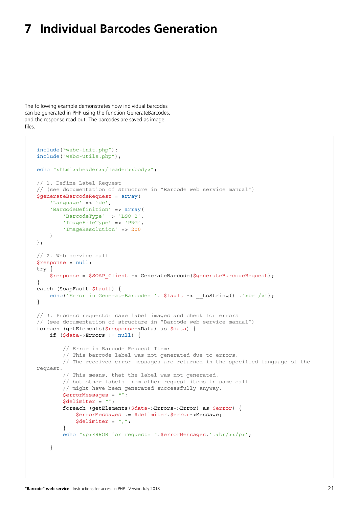### <span id="page-20-0"></span>**7 Individual Barcodes Generation**

The following example demonstrates how individual barcodes can be generated in PHP using the function GenerateBarcodes, and the response read out. The barcodes are saved as image files.

```
include("wsbc-init.php");
include("wsbc-utils.php");
echo "<html><header></header><br/>>body>";
// 1. Define Label Request 
// (see documentation of structure in "Barcode web service manual")
$generateBarcodeRequest = array(
     'Language' => 'de',
     'BarcodeDefinition' => array(
         'BarcodeType' => 'LSO_2',
         'ImageFileType' => 'PNG',
         'ImageResolution' => 200
     )
);
// 2. Web service call
$response = null;
try {
     $response = $SOAP_Client -> GenerateBarcode($generateBarcodeRequest);
}
catch (SoapFault $fault) {
    echo('Error in GenerateBarcode: '. $fault -> t toString() \cdot / <br/>br />');
}
// 3. Process requests: save label images and check for errors
// (see documentation of structure in "Barcode web service manual")
foreach (getElements($response->Data) as $data) {
     if ($data->Errors != null) {
         // Error in Barcode Request Item:
         // This barcode label was not generated due to errors.
         // The received error messages are returned in the specified language of the 
request.
         // This means, that the label was not generated,
         // but other labels from other request items in same call
         // might have been generated successfully anyway.
         $errorMessages = "";
         $delimiter = "";
         foreach (getElements($data->Errors->Error) as $error) {
             $errorMessages .= $delimiter.$error->Message;
            $delimiter = "," }
        echo "<p>ERROR for request: ".$errorMessages.'.<br/> </p>>>;
     }
```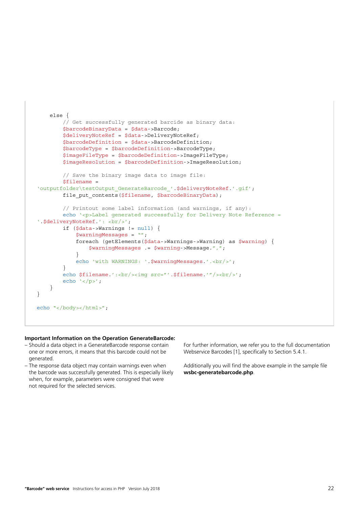```
 else {
         // Get successfully generated barcide as binary data:
         $barcodeBinaryData = $data->Barcode;
         $deliveryNoteRef = $data->DeliveryNoteRef;
         $barcodeDefinition = $data->BarcodeDefinition;
         $barcodeType = $barcodeDefinition->BarcodeType;
         $imageFileType = $barcodeDefinition->ImageFileType;
         $imageResolution = $barcodeDefinition->ImageResolution;
         // Save the binary image data to image file:
         $filename = 
'outputfolder\testOutput GenerateBarcode '.$deliveryNoteRef.'.gif';
        file put contents($filename, $barcodeBinaryData);
         // Printout some label information (and warnings, if any):
         echo '<p>Label generated successfully for Delivery Note Reference = 
'.$deliveryNoteRef.': <br/> <br/>
         if ($data->Warnings != null) {
             $warningMessages = "";
             foreach (getElements($data->Warnings->Warning) as $warning) {
                  $warningMessages .= $warning->Message.",";
 }
            echo 'with WARNINGS: '.$warningMessages.'.<br/>>br/>';
         }
        echo $filename.':<br/>>br/>>img src="'.$filename.'"/><br/>>br/>';
        echo \sqrt{p}/\frac{p}{i};
     }
}
echo "</body></html>";
```
#### **Important Information on the Operation GenerateBarcode:**

- Should a data object in a GenerateBarcode response contain one or more errors, it means that this barcode could not be generated.
- The response data object may contain warnings even when the barcode was successfully generated. This is especially likely when, for example, parameters were consigned that were not required for the selected services.

For further information, we refer you to the full documentation Webservice Barcodes [1], specifically to Section 5.4.1.

Additionally you will find the above example in the sample file **wsbc-generatebarcode.php**.